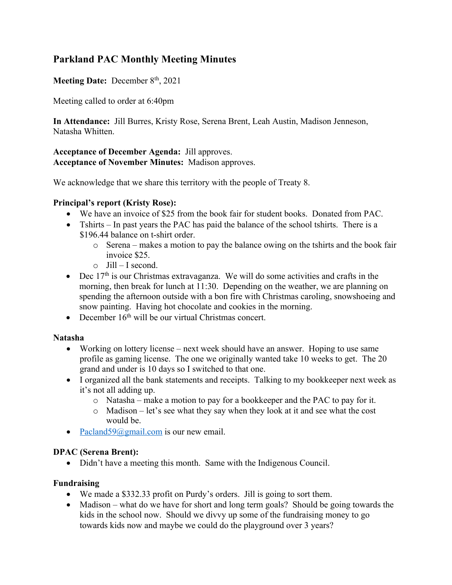# **Parkland PAC Monthly Meeting Minutes**

## Meeting Date: December 8<sup>th</sup>, 2021

Meeting called to order at 6:40pm

**In Attendance:** Jill Burres, Kristy Rose, Serena Brent, Leah Austin, Madison Jenneson, Natasha Whitten.

**Acceptance of December Agenda:** Jill approves. **Acceptance of November Minutes:** Madison approves.

We acknowledge that we share this territory with the people of Treaty 8.

### **Principal's report (Kristy Rose):**

- We have an invoice of \$25 from the book fair for student books. Donated from PAC.
- Tshirts In past years the PAC has paid the balance of the school tshirts. There is a \$196.44 balance on t-shirt order.
	- o Serena makes a motion to pay the balance owing on the tshirts and the book fair invoice \$25.
	- $\circ$  Jill I second.
- Dec  $17<sup>th</sup>$  is our Christmas extravaganza. We will do some activities and crafts in the morning, then break for lunch at 11:30. Depending on the weather, we are planning on spending the afternoon outside with a bon fire with Christmas caroling, snowshoeing and snow painting. Having hot chocolate and cookies in the morning.
- December  $16<sup>th</sup>$  will be our virtual Christmas concert.

### **Natasha**

- Working on lottery license next week should have an answer. Hoping to use same profile as gaming license. The one we originally wanted take 10 weeks to get. The 20 grand and under is 10 days so I switched to that one.
- I organized all the bank statements and receipts. Talking to my bookkeeper next week as it's not all adding up.
	- o Natasha make a motion to pay for a bookkeeper and the PAC to pay for it.
	- o Madison let's see what they say when they look at it and see what the cost would be.
- Pacland59@gmail.com is our new email.

### **DPAC (Serena Brent):**

• Didn't have a meeting this month. Same with the Indigenous Council.

### **Fundraising**

- We made a \$332.33 profit on Purdy's orders. Jill is going to sort them.
- Madison what do we have for short and long term goals? Should be going towards the kids in the school now. Should we divvy up some of the fundraising money to go towards kids now and maybe we could do the playground over 3 years?